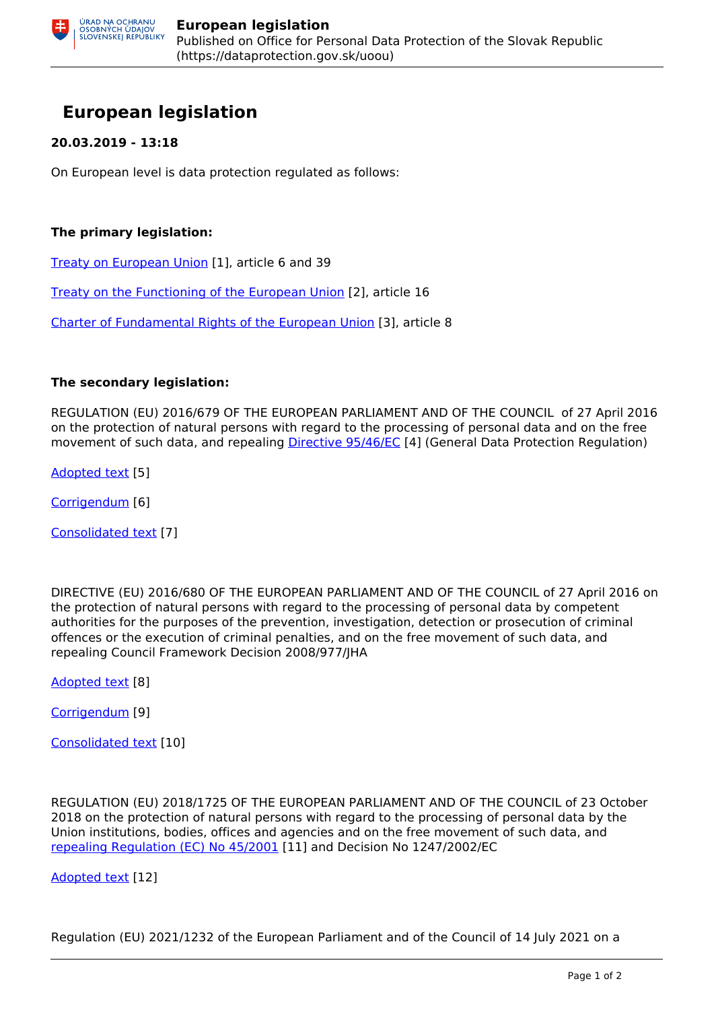# **European legislation**

### **20.03.2019 - 13:18**

On European level is data protection regulated as follows:

### **The primary legislation:**

[Treaty on European Union](https://eur-lex.europa.eu/legal-content/EN/TXT/?uri=celex%3A12012M%2FTXT) [1], article 6 and 39

[Treaty on the Functioning of the European Union](https://eur-lex.europa.eu/legal-content/EN/TXT/PDF/?uri=CELEX:12012E/TXT&from=SK) [2], article 16

[Charter of Fundamental Rights of the European Union](https://eur-lex.europa.eu/legal-content/EN/TXT/PDF/?uri=CELEX:12012P/TXT&from=SK) [3], article 8

#### **The secondary legislation:**

REGULATION (EU) 2016/679 OF THE EUROPEAN PARLIAMENT AND OF THE COUNCIL of 27 April 2016 on the protection of natural persons with regard to the processing of personal data and on the free movement of such data, and repealing [Directive 95/46/EC](https://eur-lex.europa.eu/legal-content/en/TXT/PDF/?uri=CELEX:31995L0046&from=SK) [4] (General Data Protection Regulation)

[Adopted text](https://eur-lex.europa.eu/legal-content/EN/TXT/PDF/?uri=CELEX:32016R0679&from=SK) [5]

[Corrigendum](https://eur-lex.europa.eu/legal-content/EN/TXT/PDF/?uri=CELEX:32016R0679R(02)&from=SK) [6]

[Consolidated text](https://eur-lex.europa.eu/legal-content/en/TXT/PDF/?uri=CELEX:02016R0679-20160504&qid=1530169768990&from=SK) [7]

DIRECTIVE (EU) 2016/680 OF THE EUROPEAN PARLIAMENT AND OF THE COUNCIL of 27 April 2016 on the protection of natural persons with regard to the processing of personal data by competent authorities for the purposes of the prevention, investigation, detection or prosecution of criminal offences or the execution of criminal penalties, and on the free movement of such data, and repealing Council Framework Decision 2008/977/JHA

[Adopted text](https://eur-lex.europa.eu/legal-content/EN/TXT/PDF/?uri=CELEX:32016L0680&qid=1532941011594&from=EN) [8]

[Corrigendum](https://eur-lex.europa.eu/legal-content/EN/TXT/PDF/?uri=CELEX:32016L0680R(01)&from=SK) [9]

[Consolidated text](https://eur-lex.europa.eu/legal-content/EN/TXT/PDF/?uri=CELEX:02016L0680-20160504&from=SK) [10]

REGULATION (EU) 2018/1725 OF THE EUROPEAN PARLIAMENT AND OF THE COUNCIL of 23 October 2018 on the protection of natural persons with regard to the processing of personal data by the Union institutions, bodies, offices and agencies and on the free movement of such data, and [repealing Regulation \(EC\) No 45/2001](https://eur-lex.europa.eu/legal-content/EN/TXT/PDF/?uri=CELEX:32001R0045&from=SK) [11] and Decision No 1247/2002/EC

[Adopted text](https://eur-lex.europa.eu/legal-content/EN/TXT/PDF/?uri=CELEX:32018R1725&from=EN) [12]

Regulation (EU) 2021/1232 of the European Parliament and of the Council of 14 July 2021 on a